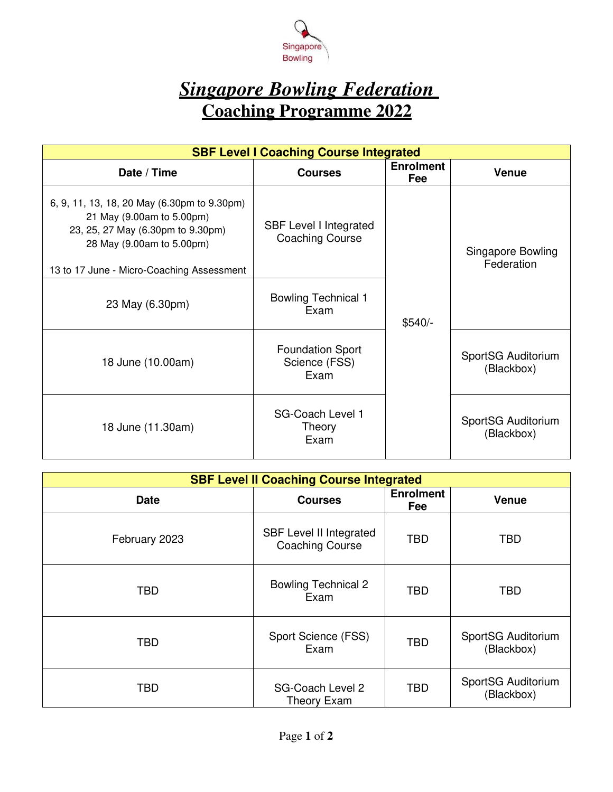

# *Singapore Bowling Federation*  **Coaching Programme 2022**

| <b>SBF Level I Coaching Course Integrated</b>                                                                                                                                           |                                                         |                         |                                  |  |  |
|-----------------------------------------------------------------------------------------------------------------------------------------------------------------------------------------|---------------------------------------------------------|-------------------------|----------------------------------|--|--|
| Date / Time                                                                                                                                                                             | <b>Courses</b>                                          | <b>Enrolment</b><br>Fee | <b>Venue</b>                     |  |  |
| 6, 9, 11, 13, 18, 20 May (6.30pm to 9.30pm)<br>21 May (9.00am to 5.00pm)<br>23, 25, 27 May (6.30pm to 9.30pm)<br>28 May (9.00am to 5.00pm)<br>13 to 17 June - Micro-Coaching Assessment | <b>SBF Level I Integrated</b><br><b>Coaching Course</b> |                         | Singapore Bowling<br>Federation  |  |  |
| 23 May (6.30pm)                                                                                                                                                                         | <b>Bowling Technical 1</b><br>Exam                      | $$540/-$                |                                  |  |  |
| 18 June (10.00am)                                                                                                                                                                       | <b>Foundation Sport</b><br>Science (FSS)<br>Exam        |                         | SportSG Auditorium<br>(Blackbox) |  |  |
| 18 June (11.30am)                                                                                                                                                                       | <b>SG-Coach Level 1</b><br>Theory<br>Exam               |                         | SportSG Auditorium<br>(Blackbox) |  |  |

| <b>SBF Level II Coaching Course Integrated</b> |                                                          |                         |                                  |  |
|------------------------------------------------|----------------------------------------------------------|-------------------------|----------------------------------|--|
| <b>Date</b>                                    | <b>Courses</b>                                           | <b>Enrolment</b><br>Fee | <b>Venue</b>                     |  |
| February 2023                                  | <b>SBF Level II Integrated</b><br><b>Coaching Course</b> | <b>TBD</b>              | <b>TBD</b>                       |  |
| <b>TBD</b>                                     | <b>Bowling Technical 2</b><br>Exam                       | <b>TBD</b>              | <b>TBD</b>                       |  |
| <b>TBD</b>                                     | Sport Science (FSS)<br>Exam                              | <b>TBD</b>              | SportSG Auditorium<br>(Blackbox) |  |
| <b>TBD</b>                                     | <b>SG-Coach Level 2</b><br>Theory Exam                   | <b>TBD</b>              | SportSG Auditorium<br>(Blackbox) |  |